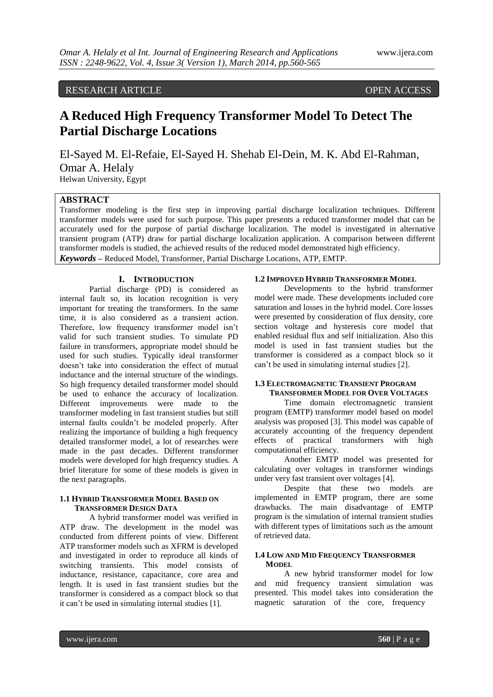## RESEARCH ARTICLE OPEN ACCESS

# **A Reduced High Frequency Transformer Model To Detect The Partial Discharge Locations**

El-Sayed M. El-Refaie, El-Sayed H. Shehab El-Dein, M. K. Abd El-Rahman, Omar A. Helaly Helwan University, Egypt

## **ABSTRACT**

Transformer modeling is the first step in improving partial discharge localization techniques. Different transformer models were used for such purpose. This paper presents a reduced transformer model that can be accurately used for the purpose of partial discharge localization. The model is investigated in alternative transient program (ATP) draw for partial discharge localization application. A comparison between different transformer models is studied, the achieved results of the reduced model demonstrated high efficiency. *Keywords* **–** Reduced Model, Transformer, Partial Discharge Locations, ATP, EMTP.

#### **I. INTRODUCTION**

Partial discharge (PD) is considered as internal fault so, its location recognition is very important for treating the transformers. In the same time, it is also considered as a transient action. Therefore, low frequency transformer model isn't valid for such transient studies. To simulate PD failure in transformers, appropriate model should be used for such studies. Typically ideal transformer doesn't take into consideration the effect of mutual inductance and the internal structure of the windings. So high frequency detailed transformer model should be used to enhance the accuracy of localization. Different improvements were made to the transformer modeling in fast transient studies but still internal faults couldn't be modeled properly. After realizing the importance of building a high frequency detailed transformer model, a lot of researches were made in the past decades. Different transformer models were developed for high frequency studies. A brief literature for some of these models is given in the next paragraphs.

## **1.1 HYBRID TRANSFORMER MODEL BASED ON TRANSFORMER DESIGN DATA**

A hybrid transformer model was verified in ATP draw. The development in the model was conducted from different points of view. Different ATP transformer models such as XFRM is developed and investigated in order to reproduce all kinds of switching transients. This model consists of inductance, resistance, capacitance, core area and length. It is used in fast transient studies but the transformer is considered as a compact block so that it can't be used in simulating internal studies [1].

### **1.2 IMPROVED HYBRID TRANSFORMER MODEL**

Developments to the hybrid transformer model were made. These developments included core saturation and losses in the hybrid model. Core losses were presented by consideration of flux density, core section voltage and hysteresis core model that enabled residual flux and self initialization. Also this model is used in fast transient studies but the transformer is considered as a compact block so it can't be used in simulating internal studies [2].

#### **1.3 ELECTROMAGNETIC TRANSIENT PROGRAM TRANSFORMER MODEL FOR OVER VOLTAGES**

Time domain electromagnetic transient program (EMTP) transformer model based on model analysis was proposed [3]. This model was capable of accurately accounting of the frequency dependent effects of practical transformers with high computational efficiency.

Another EMTP model was presented for calculating over voltages in transformer windings under very fast transient over voltages [4].

Despite that these two models are implemented in EMTP program, there are some drawbacks. The main disadvantage of EMTP program is the simulation of internal transient studies with different types of limitations such as the amount of retrieved data.

#### **1.4 LOW AND MID FREQUENCY TRANSFORMER MODEL**

A new hybrid transformer model for low and mid frequency transient simulation was presented. This model takes into consideration the magnetic saturation of the core, frequency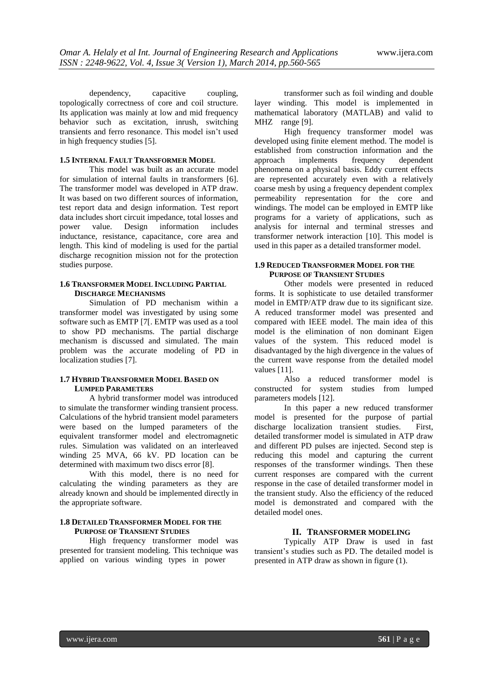dependency, capacitive coupling, topologically correctness of core and coil structure. Its application was mainly at low and mid frequency behavior such as excitation, inrush, switching transients and ferro resonance. This model isn't used in high frequency studies [5].

## **1.5 INTERNAL FAULT TRANSFORMER MODEL**

This model was built as an accurate model for simulation of internal faults in transformers [6]. The transformer model was developed in ATP draw. It was based on two different sources of information, test report data and design information. Test report data includes short circuit impedance, total losses and power value. Design information includes inductance, resistance, capacitance, core area and length. This kind of modeling is used for the partial discharge recognition mission not for the protection studies purpose.

## **1.6 TRANSFORMER MODEL INCLUDING PARTIAL DISCHARGE MECHANISMS**

Simulation of PD mechanism within a transformer model was investigated by using some software such as EMTP [7[. EMTP was used as a tool to show PD mechanisms. The partial discharge mechanism is discussed and simulated. The main problem was the accurate modeling of PD in localization studies [7].

## **1.7 HYBRID TRANSFORMER MODEL BASED ON LUMPED PARAMETERS**

A hybrid transformer model was introduced to simulate the transformer winding transient process. Calculations of the hybrid transient model parameters were based on the lumped parameters of the equivalent transformer model and electromagnetic rules. Simulation was validated on an interleaved winding 25 MVA, 66 kV. PD location can be determined with maximum two discs error [8].

With this model, there is no need for calculating the winding parameters as they are already known and should be implemented directly in the appropriate software.

## **1.8 DETAILED TRANSFORMER MODEL FOR THE PURPOSE OF TRANSIENT STUDIES**

High frequency transformer model was presented for transient modeling. This technique was applied on various winding types in power

transformer such as foil winding and double layer winding. This model is implemented in mathematical laboratory (MATLAB) and valid to MHZ range [9].

High frequency transformer model was developed using finite element method. The model is established from construction information and the approach implements frequency dependent phenomena on a physical basis. Eddy current effects are represented accurately even with a relatively coarse mesh by using a frequency dependent complex permeability representation for the core and windings. The model can be employed in EMTP like programs for a variety of applications, such as analysis for internal and terminal stresses and transformer network interaction [10]. This model is used in this paper as a detailed transformer model.

#### **1.9 REDUCED TRANSFORMER MODEL FOR THE PURPOSE OF TRANSIENT STUDIES**

Other models were presented in reduced forms. It is sophisticate to use detailed transformer model in EMTP/ATP draw due to its significant size. A reduced transformer model was presented and compared with IEEE model. The main idea of this model is the elimination of non dominant Eigen values of the system. This reduced model is disadvantaged by the high divergence in the values of the current wave response from the detailed model values [11].

Also a reduced transformer model is constructed for system studies from lumped parameters models [12].

In this paper a new reduced transformer model is presented for the purpose of partial discharge localization transient studies. First, detailed transformer model is simulated in ATP draw and different PD pulses are injected. Second step is reducing this model and capturing the current responses of the transformer windings. Then these current responses are compared with the current response in the case of detailed transformer model in the transient study. Also the efficiency of the reduced model is demonstrated and compared with the detailed model ones.

## **II. TRANSFORMER MODELING**

Typically ATP Draw is used in fast transient's studies such as PD. The detailed model is presented in ATP draw as shown in figure (1).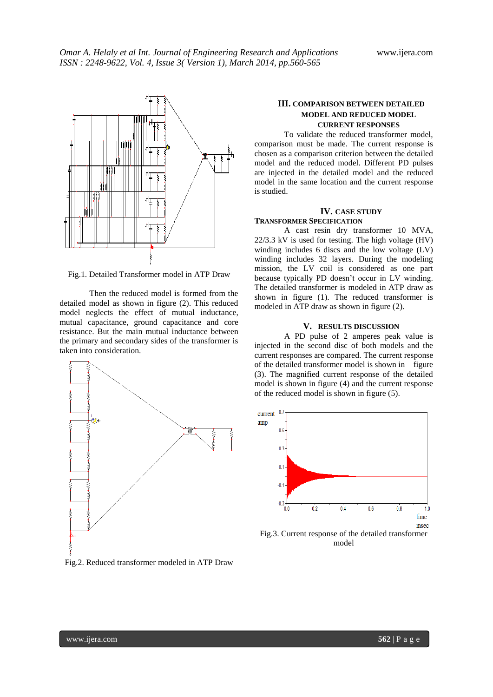

Fig.1. Detailed Transformer model in ATP Draw

Then the reduced model is formed from the detailed model as shown in figure (2). This reduced model neglects the effect of mutual inductance, mutual capacitance, ground capacitance and core resistance. But the main mutual inductance between the primary and secondary sides of the transformer is taken into consideration.



Fig.2. Reduced transformer modeled in ATP Draw

## **III. COMPARISON BETWEEN DETAILED MODEL AND REDUCED MODEL CURRENT RESPONSES**

To validate the reduced transformer model, comparison must be made. The current response is chosen as a comparison criterion between the detailed model and the reduced model. Different PD pulses are injected in the detailed model and the reduced model in the same location and the current response is studied.

## **IV. CASE STUDY**

**TRANSFORMER SPECIFICATION** A cast resin dry transformer 10 MVA, 22/3.3 kV is used for testing. The high voltage (HV) winding includes 6 discs and the low voltage (LV) winding includes 32 layers. During the modeling mission, the LV coil is considered as one part because typically PD doesn't occur in LV winding. The detailed transformer is modeled in ATP draw as shown in figure (1). The reduced transformer is

modeled in ATP draw as shown in figure (2).

#### **V. RESULTS DISCUSSION**

A PD pulse of 2 amperes peak value is injected in the second disc of both models and the current responses are compared. The current response of the detailed transformer model is shown in figure (3). The magnified current response of the detailed model is shown in figure (4) and the current response of the reduced model is shown in figure (5).

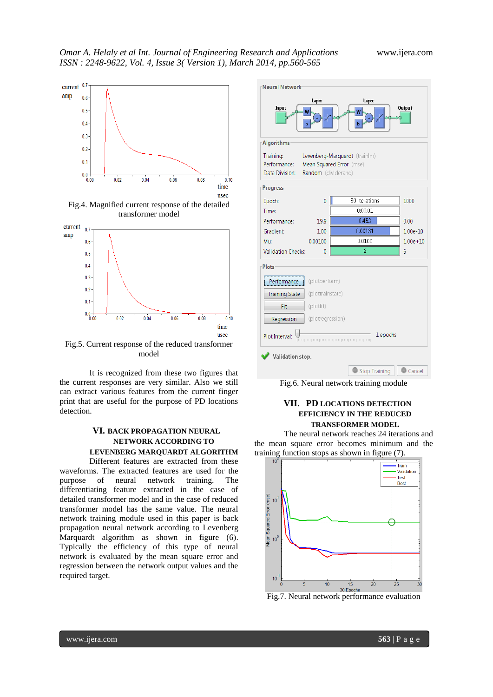

Fig.4. Magnified current response of the detailed transformer model



Fig.5. Current response of the reduced transformer model

It is recognized from these two figures that the current responses are very similar. Also we still can extract various features from the current finger print that are useful for the purpose of PD locations detection.

## **VI. BACK PROPAGATION NEURAL NETWORK ACCORDING TO**

**LEVENBERG MARQUARDT ALGORITHM**

Different features are extracted from these waveforms. The extracted features are used for the purpose of neural network training. The differentiating feature extracted in the case of detailed transformer model and in the case of reduced transformer model has the same value. The neural network training module used in this paper is back propagation neural network according to Levenberg Marquardt algorithm as shown in figure (6). Typically the efficiency of this type of neural network is evaluated by the mean square error and regression between the network output values and the required target.



Fig.6. Neural network training module

## **VII. PD LOCATIONS DETECTION EFFICIENCY IN THE REDUCED TRANSFORMER MODEL**

The neural network reaches 24 iterations and the mean square error becomes minimum and the training function stops as shown in figure (7).



Fig.7. Neural network performance evaluation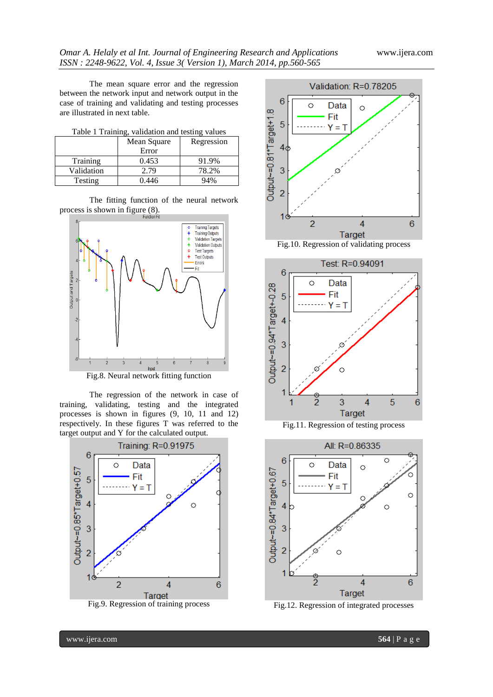The mean square error and the regression between the network input and network output in the case of training and validating and testing processes are illustrated in next table.

|            | Mean Square | Regression |
|------------|-------------|------------|
|            | Error       |            |
| Training   | 0.453       | 91.9%      |
| Validation | 2.79        | 78.2%      |
| Testing    | 0.446       | 94%        |

The fitting function of the neural network process is shown in figure (8).



Fig.8. Neural network fitting function

The regression of the network in case of training, validating, testing and the integrated processes is shown in figures (9, 10, 11 and 12) respectively. In these figures T was referred to the target output and Y for the calculated output.













Fig.12. Regression of integrated processes

www.ijera.com **564** | P a g e